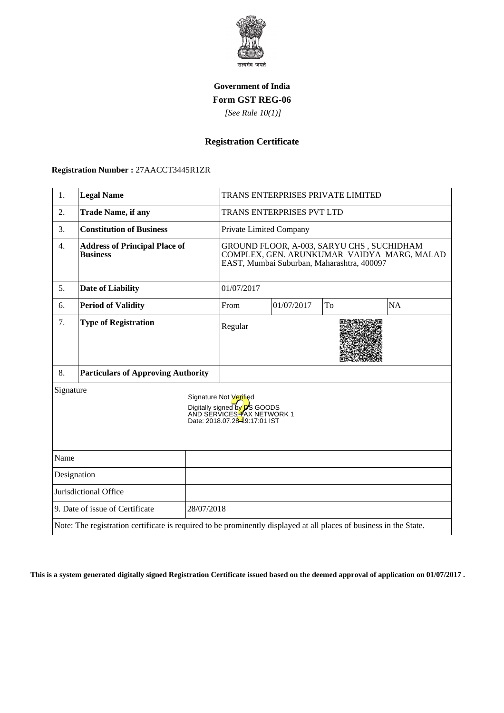

## **Government of India Form GST REG-06**

 *[See Rule 10(1)]*

# **Registration Certificate**

#### **Registration Number :** 27AACCT3445R1ZR

| 1.                                                                                                                                        | <b>Legal Name</b>                                       |                         | TRANS ENTERPRISES PRIVATE LIMITED                                                                                                     |            |    |    |
|-------------------------------------------------------------------------------------------------------------------------------------------|---------------------------------------------------------|-------------------------|---------------------------------------------------------------------------------------------------------------------------------------|------------|----|----|
| 2.                                                                                                                                        | <b>Trade Name, if any</b>                               |                         | TRANS ENTERPRISES PVT LTD                                                                                                             |            |    |    |
| 3.                                                                                                                                        | <b>Constitution of Business</b>                         | Private Limited Company |                                                                                                                                       |            |    |    |
| $\overline{4}$ .                                                                                                                          | <b>Address of Principal Place of</b><br><b>Business</b> |                         | GROUND FLOOR, A-003, SARYU CHS, SUCHIDHAM<br>COMPLEX, GEN. ARUNKUMAR VAIDYA MARG, MALAD<br>EAST, Mumbai Suburban, Maharashtra, 400097 |            |    |    |
| 5.                                                                                                                                        | <b>Date of Liability</b>                                |                         | 01/07/2017                                                                                                                            |            |    |    |
| 6.                                                                                                                                        | <b>Period of Validity</b>                               |                         | From                                                                                                                                  | 01/07/2017 | To | NA |
| 7.                                                                                                                                        | <b>Type of Registration</b>                             |                         | Regular                                                                                                                               |            |    |    |
| 8.                                                                                                                                        | <b>Particulars of Approving Authority</b>               |                         |                                                                                                                                       |            |    |    |
| Signature<br>Signature Not Verified<br>Digitally signed by <b>D</b> S GOODS<br>AND SERVICES TAX NETWORK 1<br>Date: 2018.07.28-9:17:01 IST |                                                         |                         |                                                                                                                                       |            |    |    |
| Name                                                                                                                                      |                                                         |                         |                                                                                                                                       |            |    |    |
| Designation                                                                                                                               |                                                         |                         |                                                                                                                                       |            |    |    |
| Jurisdictional Office                                                                                                                     |                                                         |                         |                                                                                                                                       |            |    |    |
| 9. Date of issue of Certificate<br>28/07/2018                                                                                             |                                                         |                         |                                                                                                                                       |            |    |    |
| Note: The registration certificate is required to be prominently displayed at all places of business in the State.                        |                                                         |                         |                                                                                                                                       |            |    |    |

**This is a system generated digitally signed Registration Certificate issued based on the deemed approval of application on 01/07/2017 .**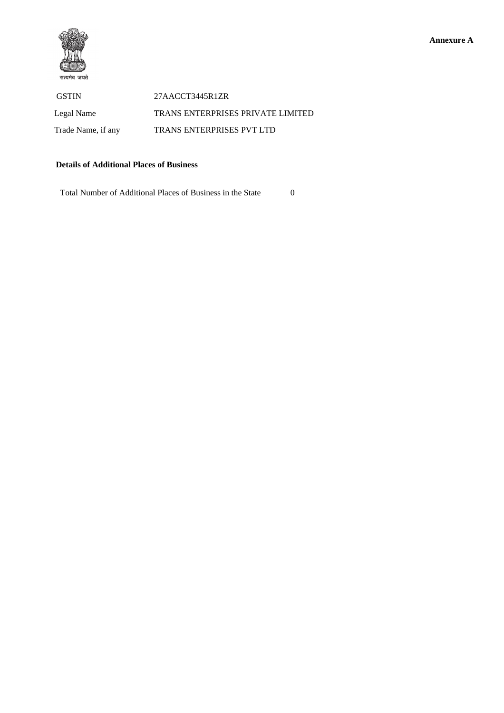

 GSTIN 27AACCT3445R1ZR Legal Name TRANS ENTERPRISES PRIVATE LIMITED Trade Name, if any TRANS ENTERPRISES PVT LTD

### **Details of Additional Places of Business**

Total Number of Additional Places of Business in the State 0